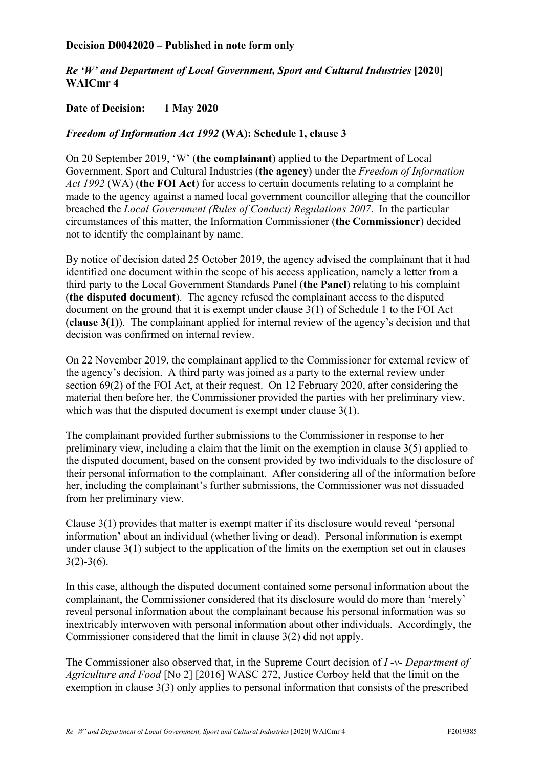## **Decision D0042020 – Published in note form only**

## *Re 'W' and Department of Local Government, Sport and Cultural Industries* **[2020] WAICmr 4**

## **Date of Decision: 1 May 2020**

## *Freedom of Information Act 1992* **(WA): Schedule 1, clause 3**

On 20 September 2019, 'W' (**the complainant**) applied to the Department of Local Government, Sport and Cultural Industries (**the agency**) under the *Freedom of Information Act 1992* (WA) (**the FOI Act**) for access to certain documents relating to a complaint he made to the agency against a named local government councillor alleging that the councillor breached the *Local Government (Rules of Conduct) Regulations 2007*. In the particular circumstances of this matter, the Information Commissioner (**the Commissioner**) decided not to identify the complainant by name.

By notice of decision dated 25 October 2019, the agency advised the complainant that it had identified one document within the scope of his access application, namely a letter from a third party to the Local Government Standards Panel (**the Panel**) relating to his complaint (**the disputed document**). The agency refused the complainant access to the disputed document on the ground that it is exempt under clause 3(1) of Schedule 1 to the FOI Act (**clause 3(1)**). The complainant applied for internal review of the agency's decision and that decision was confirmed on internal review.

On 22 November 2019, the complainant applied to the Commissioner for external review of the agency's decision. A third party was joined as a party to the external review under section 69(2) of the FOI Act, at their request. On 12 February 2020, after considering the material then before her, the Commissioner provided the parties with her preliminary view, which was that the disputed document is exempt under clause  $3(1)$ .

The complainant provided further submissions to the Commissioner in response to her preliminary view, including a claim that the limit on the exemption in clause 3(5) applied to the disputed document, based on the consent provided by two individuals to the disclosure of their personal information to the complainant. After considering all of the information before her, including the complainant's further submissions, the Commissioner was not dissuaded from her preliminary view.

Clause 3(1) provides that matter is exempt matter if its disclosure would reveal 'personal information' about an individual (whether living or dead). Personal information is exempt under clause 3(1) subject to the application of the limits on the exemption set out in clauses  $3(2)-3(6)$ .

In this case, although the disputed document contained some personal information about the complainant, the Commissioner considered that its disclosure would do more than 'merely' reveal personal information about the complainant because his personal information was so inextricably interwoven with personal information about other individuals. Accordingly, the Commissioner considered that the limit in clause 3(2) did not apply.

The Commissioner also observed that, in the Supreme Court decision of *I -v- Department of Agriculture and Food* [No 2] [2016] WASC 272, Justice Corboy held that the limit on the exemption in clause 3(3) only applies to personal information that consists of the prescribed